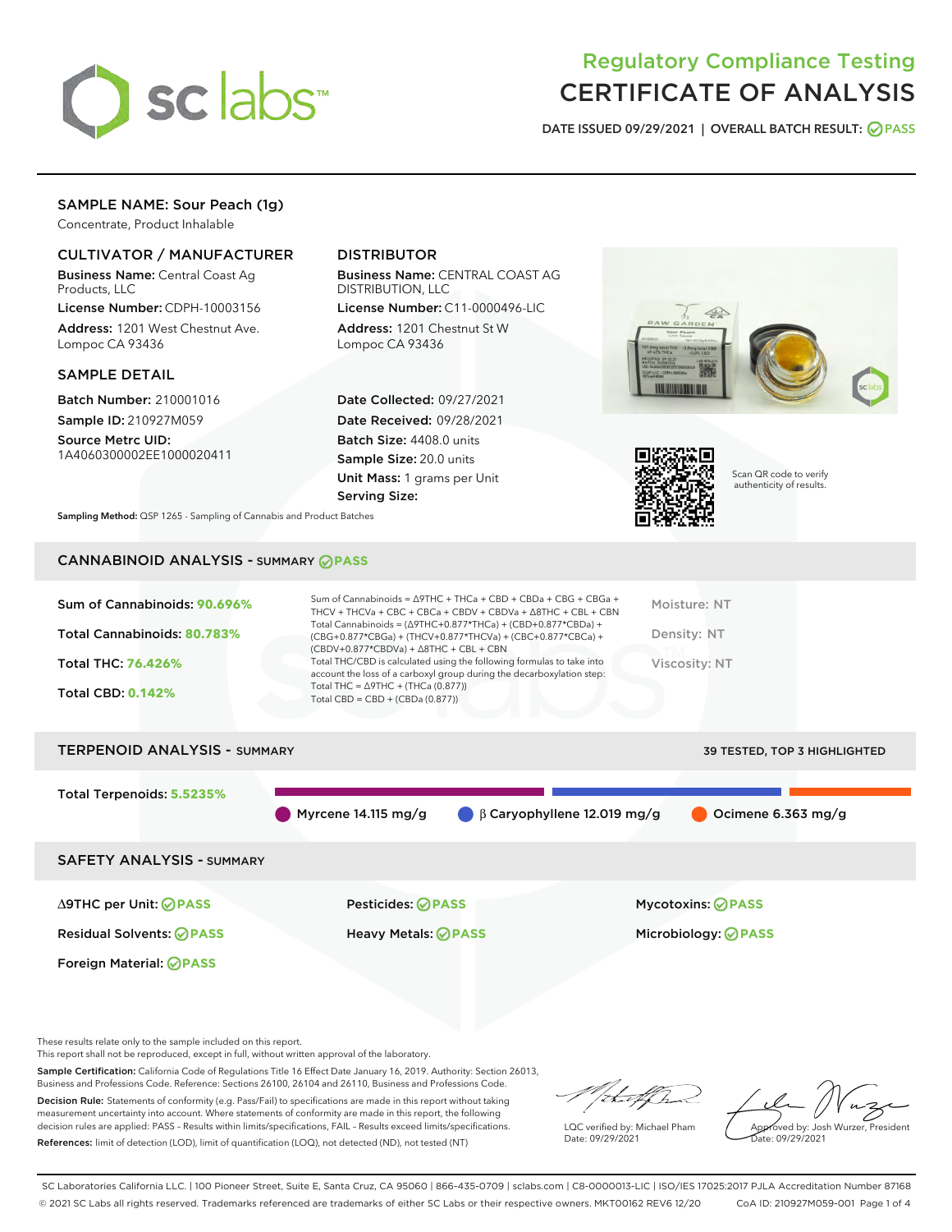

# Regulatory Compliance Testing CERTIFICATE OF ANALYSIS

DATE ISSUED 09/29/2021 | OVERALL BATCH RESULT: @ PASS

### SAMPLE NAME: Sour Peach (1g)

Concentrate, Product Inhalable

#### CULTIVATOR / MANUFACTURER

Business Name: Central Coast Ag Products, LLC

License Number: CDPH-10003156 Address: 1201 West Chestnut Ave. Lompoc CA 93436

#### SAMPLE DETAIL

Batch Number: 210001016 Sample ID: 210927M059

Source Metrc UID: 1A4060300002EE1000020411

## DISTRIBUTOR

Business Name: CENTRAL COAST AG DISTRIBUTION, LLC

License Number: C11-0000496-LIC Address: 1201 Chestnut St W Lompoc CA 93436

Date Collected: 09/27/2021 Date Received: 09/28/2021 Batch Size: 4408.0 units Sample Size: 20.0 units Unit Mass: 1 grams per Unit Serving Size:





Scan QR code to verify authenticity of results.

Sampling Method: QSP 1265 - Sampling of Cannabis and Product Batches

## CANNABINOID ANALYSIS - SUMMARY **PASS**



These results relate only to the sample included on this report.

This report shall not be reproduced, except in full, without written approval of the laboratory.

Sample Certification: California Code of Regulations Title 16 Effect Date January 16, 2019. Authority: Section 26013, Business and Professions Code. Reference: Sections 26100, 26104 and 26110, Business and Professions Code.

Decision Rule: Statements of conformity (e.g. Pass/Fail) to specifications are made in this report without taking measurement uncertainty into account. Where statements of conformity are made in this report, the following decision rules are applied: PASS – Results within limits/specifications, FAIL – Results exceed limits/specifications. References: limit of detection (LOD), limit of quantification (LOQ), not detected (ND), not tested (NT)

that f(ha

LQC verified by: Michael Pham Date: 09/29/2021

Approved by: Josh Wurzer, President ate: 09/29/2021

SC Laboratories California LLC. | 100 Pioneer Street, Suite E, Santa Cruz, CA 95060 | 866-435-0709 | sclabs.com | C8-0000013-LIC | ISO/IES 17025:2017 PJLA Accreditation Number 87168 © 2021 SC Labs all rights reserved. Trademarks referenced are trademarks of either SC Labs or their respective owners. MKT00162 REV6 12/20 CoA ID: 210927M059-001 Page 1 of 4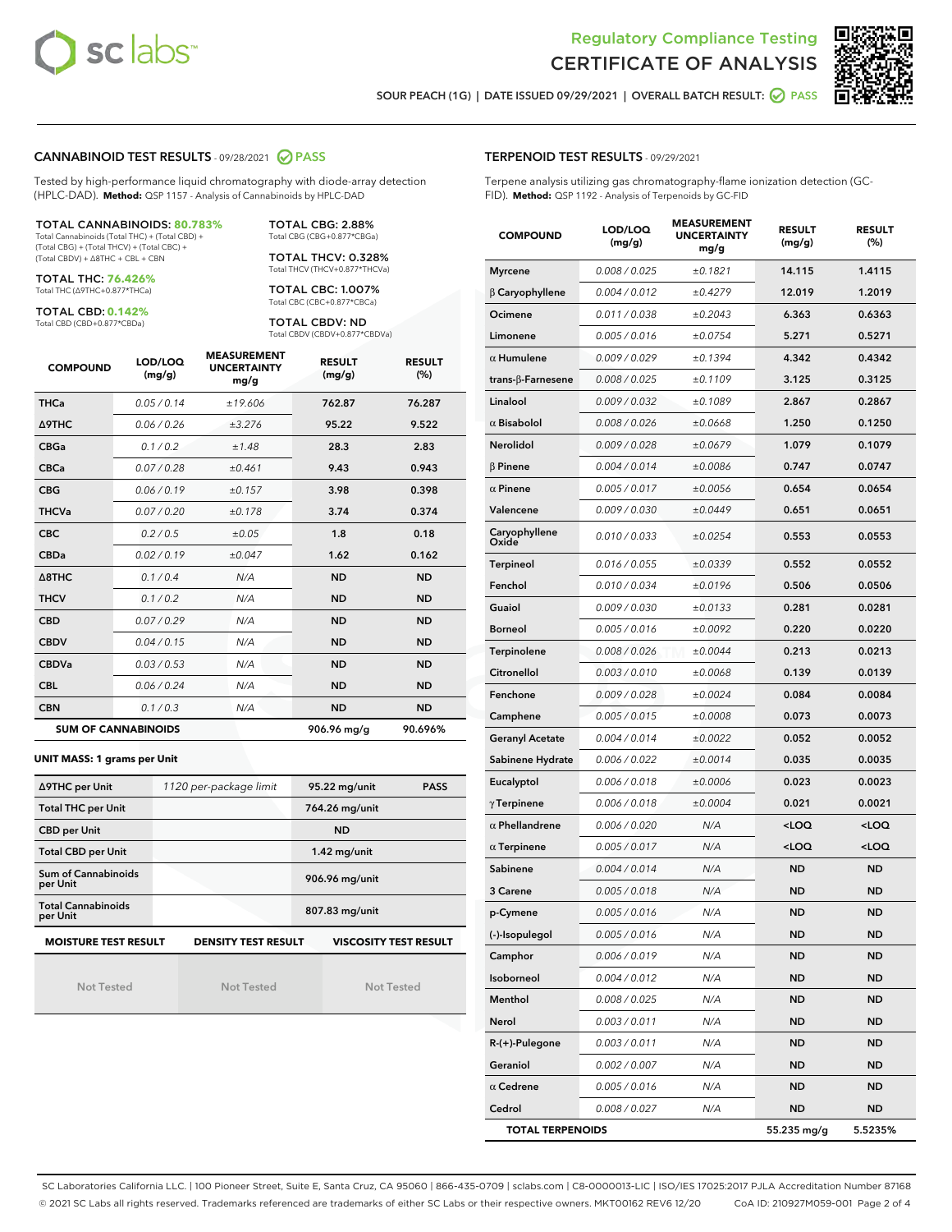



SOUR PEACH (1G) | DATE ISSUED 09/29/2021 | OVERALL BATCH RESULT:  $\bigcirc$  PASS

#### CANNABINOID TEST RESULTS - 09/28/2021 2 PASS

Tested by high-performance liquid chromatography with diode-array detection (HPLC-DAD). **Method:** QSP 1157 - Analysis of Cannabinoids by HPLC-DAD

#### TOTAL CANNABINOIDS: **80.783%** Total Cannabinoids (Total THC) + (Total CBD) +

(Total CBG) + (Total THCV) + (Total CBC) + (Total CBDV) + ∆8THC + CBL + CBN

TOTAL THC: **76.426%** Total THC (∆9THC+0.877\*THCa)

TOTAL CBD: **0.142%**

Total CBD (CBD+0.877\*CBDa)

TOTAL CBG: 2.88% Total CBG (CBG+0.877\*CBGa)

TOTAL THCV: 0.328% Total THCV (THCV+0.877\*THCVa)

TOTAL CBC: 1.007% Total CBC (CBC+0.877\*CBCa)

TOTAL CBDV: ND Total CBDV (CBDV+0.877\*CBDVa)

| <b>COMPOUND</b>  | LOD/LOQ<br>(mg/g)          | <b>MEASUREMENT</b><br><b>UNCERTAINTY</b><br>mg/g | <b>RESULT</b><br>(mg/g) | <b>RESULT</b><br>(%) |
|------------------|----------------------------|--------------------------------------------------|-------------------------|----------------------|
| <b>THCa</b>      | 0.05 / 0.14                | ±19.606                                          | 762.87                  | 76.287               |
| <b>A9THC</b>     | 0.06/0.26                  | ±3.276                                           | 95.22                   | 9.522                |
| <b>CBGa</b>      | 0.1 / 0.2                  | ±1.48                                            | 28.3                    | 2.83                 |
| <b>CBCa</b>      | 0.07/0.28                  | ±0.461                                           | 9.43                    | 0.943                |
| <b>CBG</b>       | 0.06/0.19                  | ±0.157                                           | 3.98                    | 0.398                |
| <b>THCVa</b>     | 0.07/0.20                  | ±0.178                                           | 3.74                    | 0.374                |
| <b>CBC</b>       | 0.2 / 0.5                  | ±0.05                                            | 1.8                     | 0.18                 |
| <b>CBDa</b>      | 0.02/0.19                  | ±0.047                                           | 1.62                    | 0.162                |
| $\triangle$ 8THC | 0.1 / 0.4                  | N/A                                              | <b>ND</b>               | <b>ND</b>            |
| <b>THCV</b>      | 0.1/0.2                    | N/A                                              | <b>ND</b>               | <b>ND</b>            |
| <b>CBD</b>       | 0.07/0.29                  | N/A                                              | <b>ND</b>               | <b>ND</b>            |
| <b>CBDV</b>      | 0.04/0.15                  | N/A                                              | <b>ND</b>               | <b>ND</b>            |
| <b>CBDVa</b>     | 0.03/0.53                  | N/A                                              | <b>ND</b>               | <b>ND</b>            |
| <b>CBL</b>       | 0.06 / 0.24                | N/A                                              | <b>ND</b>               | <b>ND</b>            |
| <b>CBN</b>       | 0.1/0.3                    | N/A                                              | <b>ND</b>               | <b>ND</b>            |
|                  | <b>SUM OF CANNABINOIDS</b> |                                                  | 906.96 mg/g             | 90.696%              |

#### **UNIT MASS: 1 grams per Unit**

| ∆9THC per Unit                                                                            | 1120 per-package limit | 95.22 mg/unit<br><b>PASS</b> |  |  |  |
|-------------------------------------------------------------------------------------------|------------------------|------------------------------|--|--|--|
| <b>Total THC per Unit</b>                                                                 |                        | 764.26 mg/unit               |  |  |  |
| <b>CBD per Unit</b>                                                                       |                        | <b>ND</b>                    |  |  |  |
| <b>Total CBD per Unit</b>                                                                 |                        | $1.42$ mg/unit               |  |  |  |
| Sum of Cannabinoids<br>per Unit                                                           |                        | 906.96 mg/unit               |  |  |  |
| <b>Total Cannabinoids</b><br>per Unit                                                     |                        | 807.83 mg/unit               |  |  |  |
| <b>MOISTURE TEST RESULT</b><br><b>DENSITY TEST RESULT</b><br><b>VISCOSITY TEST RESULT</b> |                        |                              |  |  |  |

Not Tested

Not Tested

Not Tested

#### TERPENOID TEST RESULTS - 09/29/2021

Terpene analysis utilizing gas chromatography-flame ionization detection (GC-FID). **Method:** QSP 1192 - Analysis of Terpenoids by GC-FID

| <b>COMPOUND</b>           | LOD/LOQ<br>(mg/g) | <b>MEASUREMENT</b><br><b>UNCERTAINTY</b><br>mg/g | <b>RESULT</b><br>(mg/g)                         | <b>RESULT</b><br>(%) |
|---------------------------|-------------------|--------------------------------------------------|-------------------------------------------------|----------------------|
| <b>Myrcene</b>            | 0.008 / 0.025     | ±0.1821                                          | 14.115                                          | 1.4115               |
| $\beta$ Caryophyllene     | 0.004 / 0.012     | ±0.4279                                          | 12.019                                          | 1.2019               |
| Ocimene                   | 0.011 / 0.038     | ±0.2043                                          | 6.363                                           | 0.6363               |
| Limonene                  | 0.005 / 0.016     | ±0.0754                                          | 5.271                                           | 0.5271               |
| $\alpha$ Humulene         | 0.009 / 0.029     | ±0.1394                                          | 4.342                                           | 0.4342               |
| trans- $\beta$ -Farnesene | 0.008 / 0.025     | ±0.1109                                          | 3.125                                           | 0.3125               |
| Linalool                  | 0.009 / 0.032     | ±0.1089                                          | 2.867                                           | 0.2867               |
| $\alpha$ Bisabolol        | 0.008 / 0.026     | ±0.0668                                          | 1.250                                           | 0.1250               |
| Nerolidol                 | 0.009 / 0.028     | ±0.0679                                          | 1.079                                           | 0.1079               |
| $\beta$ Pinene            | 0.004 / 0.014     | ±0.0086                                          | 0.747                                           | 0.0747               |
| $\alpha$ Pinene           | 0.005 / 0.017     | ±0.0056                                          | 0.654                                           | 0.0654               |
| Valencene                 | 0.009 / 0.030     | ±0.0449                                          | 0.651                                           | 0.0651               |
| Caryophyllene<br>Oxide    | 0.010 / 0.033     | ±0.0254                                          | 0.553                                           | 0.0553               |
| <b>Terpineol</b>          | 0.016 / 0.055     | ±0.0339                                          | 0.552                                           | 0.0552               |
| Fenchol                   | 0.010 / 0.034     | ±0.0196                                          | 0.506                                           | 0.0506               |
| Guaiol                    | 0.009 / 0.030     | ±0.0133                                          | 0.281                                           | 0.0281               |
| <b>Borneol</b>            | 0.005 / 0.016     | ±0.0092                                          | 0.220                                           | 0.0220               |
| Terpinolene               | 0.008 / 0.026     | ±0.0044                                          | 0.213                                           | 0.0213               |
| Citronellol               | 0.003 / 0.010     | ±0.0068                                          | 0.139                                           | 0.0139               |
| Fenchone                  | 0.009 / 0.028     | ±0.0024                                          | 0.084                                           | 0.0084               |
| Camphene                  | 0.005 / 0.015     | ±0.0008                                          | 0.073                                           | 0.0073               |
| <b>Geranyl Acetate</b>    | 0.004 / 0.014     | ±0.0022                                          | 0.052                                           | 0.0052               |
| Sabinene Hydrate          | 0.006 / 0.022     | ±0.0014                                          | 0.035                                           | 0.0035               |
| Eucalyptol                | 0.006 / 0.018     | ±0.0006                                          | 0.023                                           | 0.0023               |
| $\gamma$ Terpinene        | 0.006 / 0.018     | ±0.0004                                          | 0.021                                           | 0.0021               |
| $\alpha$ Phellandrene     | 0.006 / 0.020     | N/A                                              | <loq< th=""><th><loq< th=""></loq<></th></loq<> | <loq< th=""></loq<>  |
| $\alpha$ Terpinene        | 0.005 / 0.017     | N/A                                              | <loq< th=""><th><loq< th=""></loq<></th></loq<> | <loq< th=""></loq<>  |
| Sabinene                  | 0.004 / 0.014     | N/A                                              | ND                                              | ND                   |
| 3 Carene                  | 0.005 / 0.018     | N/A                                              | <b>ND</b>                                       | ND                   |
| p-Cymene                  | 0.005 / 0.016     | N/A                                              | <b>ND</b>                                       | ND                   |
| (-)-Isopulegol            | 0.005 / 0.016     | N/A                                              | ND                                              | ND                   |
| Camphor                   | 0.006 / 0.019     | N/A                                              | <b>ND</b>                                       | ND                   |
| Isoborneol                | 0.004 / 0.012     | N/A                                              | <b>ND</b>                                       | ND                   |
| Menthol                   | 0.008 / 0.025     | N/A                                              | ND                                              | ND                   |
| Nerol                     | 0.003 / 0.011     | N/A                                              | ND                                              | ND                   |
| $R-(+)$ -Pulegone         | 0.003 / 0.011     | N/A                                              | <b>ND</b>                                       | ND                   |
| Geraniol                  | 0.002 / 0.007     | N/A                                              | ND                                              | ND                   |
| $\alpha$ Cedrene          | 0.005 / 0.016     | N/A                                              | ND                                              | ND                   |
| Cedrol                    | 0.008 / 0.027     | N/A                                              | <b>ND</b>                                       | <b>ND</b>            |
| <b>TOTAL TERPENOIDS</b>   |                   |                                                  | 55.235 mg/g                                     | 5.5235%              |

SC Laboratories California LLC. | 100 Pioneer Street, Suite E, Santa Cruz, CA 95060 | 866-435-0709 | sclabs.com | C8-0000013-LIC | ISO/IES 17025:2017 PJLA Accreditation Number 87168 © 2021 SC Labs all rights reserved. Trademarks referenced are trademarks of either SC Labs or their respective owners. MKT00162 REV6 12/20 CoA ID: 210927M059-001 Page 2 of 4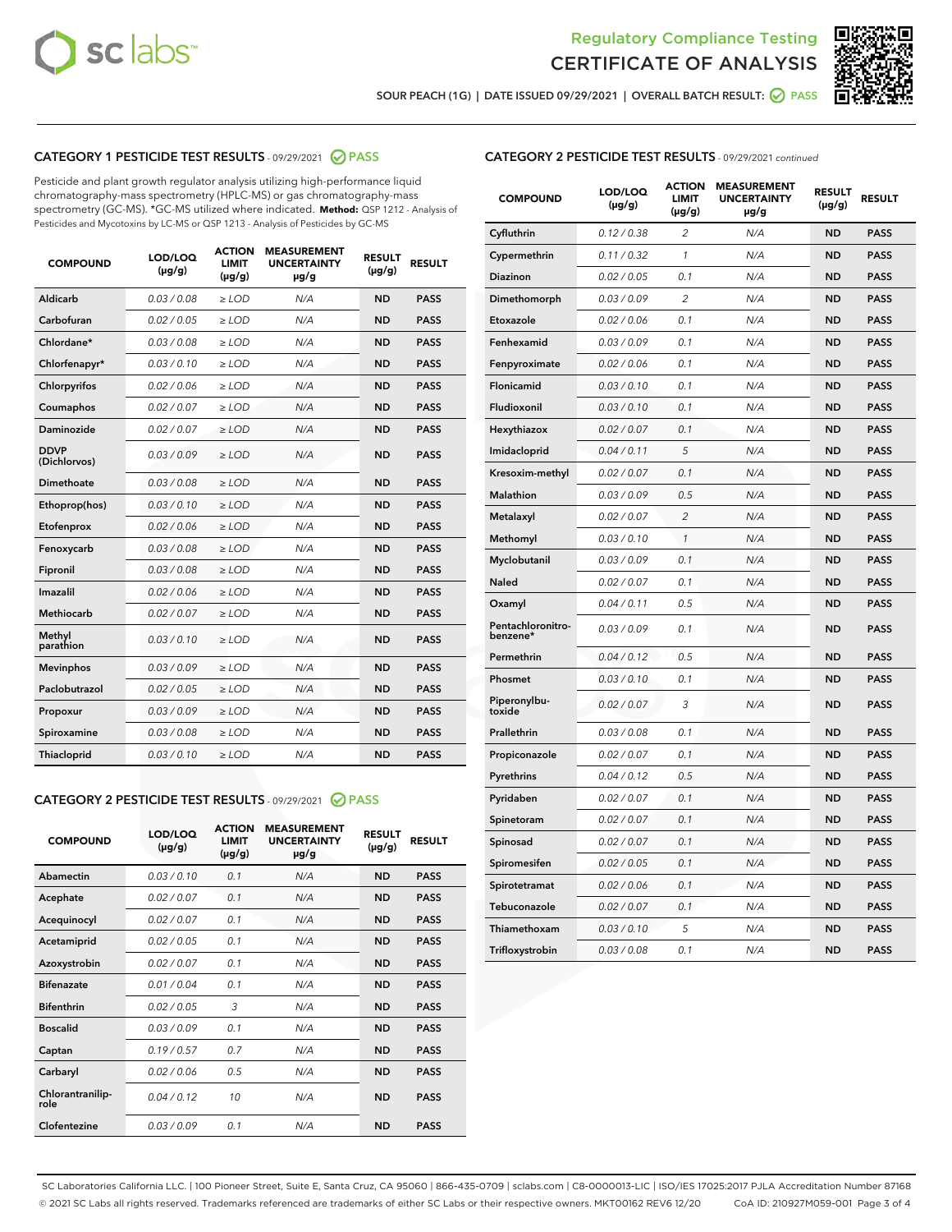



SOUR PEACH (1G) | DATE ISSUED 09/29/2021 | OVERALL BATCH RESULT:  $\bigcirc$  PASS

#### CATEGORY 1 PESTICIDE TEST RESULTS - 09/29/2021 2 PASS

Pesticide and plant growth regulator analysis utilizing high-performance liquid chromatography-mass spectrometry (HPLC-MS) or gas chromatography-mass spectrometry (GC-MS). \*GC-MS utilized where indicated. **Method:** QSP 1212 - Analysis of Pesticides and Mycotoxins by LC-MS or QSP 1213 - Analysis of Pesticides by GC-MS

| <b>COMPOUND</b>             | LOD/LOQ<br>$(\mu g/g)$ | <b>ACTION</b><br>LIMIT<br>$(\mu g/g)$ | <b>MEASUREMENT</b><br><b>UNCERTAINTY</b><br>µg/g | <b>RESULT</b><br>$(\mu g/g)$ | <b>RESULT</b> |
|-----------------------------|------------------------|---------------------------------------|--------------------------------------------------|------------------------------|---------------|
| Aldicarb                    | 0.03/0.08              | $>$ LOD                               | N/A                                              | <b>ND</b>                    | <b>PASS</b>   |
| Carbofuran                  | 0.02 / 0.05            | $\geq$ LOD                            | N/A                                              | <b>ND</b>                    | <b>PASS</b>   |
| Chlordane*                  | 0.03 / 0.08            | $\geq$ LOD                            | N/A                                              | <b>ND</b>                    | <b>PASS</b>   |
| Chlorfenapyr*               | 0.03/0.10              | $\ge$ LOD                             | N/A                                              | <b>ND</b>                    | <b>PASS</b>   |
| Chlorpyrifos                | 0.02 / 0.06            | $\ge$ LOD                             | N/A                                              | <b>ND</b>                    | <b>PASS</b>   |
| Coumaphos                   | 0.02 / 0.07            | $\ge$ LOD                             | N/A                                              | <b>ND</b>                    | <b>PASS</b>   |
| Daminozide                  | 0.02/0.07              | $>$ LOD                               | N/A                                              | <b>ND</b>                    | <b>PASS</b>   |
| <b>DDVP</b><br>(Dichlorvos) | 0.03/0.09              | $\ge$ LOD                             | N/A                                              | <b>ND</b>                    | <b>PASS</b>   |
| <b>Dimethoate</b>           | 0.03 / 0.08            | $\ge$ LOD                             | N/A                                              | <b>ND</b>                    | <b>PASS</b>   |
| Ethoprop(hos)               | 0.03/0.10              | $\ge$ LOD                             | N/A                                              | <b>ND</b>                    | <b>PASS</b>   |
| Etofenprox                  | 0.02 / 0.06            | $\ge$ LOD                             | N/A                                              | <b>ND</b>                    | <b>PASS</b>   |
| Fenoxycarb                  | 0.03 / 0.08            | $\ge$ LOD                             | N/A                                              | <b>ND</b>                    | <b>PASS</b>   |
| Fipronil                    | 0.03 / 0.08            | $\ge$ LOD                             | N/A                                              | <b>ND</b>                    | <b>PASS</b>   |
| Imazalil                    | 0.02 / 0.06            | $>$ LOD                               | N/A                                              | <b>ND</b>                    | <b>PASS</b>   |
| Methiocarb                  | 0.02 / 0.07            | $>$ LOD                               | N/A                                              | <b>ND</b>                    | <b>PASS</b>   |
| Methyl<br>parathion         | 0.03/0.10              | $>$ LOD                               | N/A                                              | <b>ND</b>                    | <b>PASS</b>   |
| <b>Mevinphos</b>            | 0.03/0.09              | $>$ LOD                               | N/A                                              | <b>ND</b>                    | <b>PASS</b>   |
| Paclobutrazol               | 0.02 / 0.05            | $>$ LOD                               | N/A                                              | <b>ND</b>                    | <b>PASS</b>   |
| Propoxur                    | 0.03/0.09              | $\ge$ LOD                             | N/A                                              | <b>ND</b>                    | <b>PASS</b>   |
| Spiroxamine                 | 0.03 / 0.08            | $\ge$ LOD                             | N/A                                              | <b>ND</b>                    | <b>PASS</b>   |
| Thiacloprid                 | 0.03/0.10              | $\ge$ LOD                             | N/A                                              | <b>ND</b>                    | <b>PASS</b>   |

#### CATEGORY 2 PESTICIDE TEST RESULTS - 09/29/2021 @ PASS

| <b>COMPOUND</b>          | LOD/LOO<br>$(\mu g/g)$ | <b>ACTION</b><br>LIMIT<br>$(\mu g/g)$ | <b>MEASUREMENT</b><br><b>UNCERTAINTY</b><br>$\mu$ g/g | <b>RESULT</b><br>$(\mu g/g)$ | <b>RESULT</b> |
|--------------------------|------------------------|---------------------------------------|-------------------------------------------------------|------------------------------|---------------|
| Abamectin                | 0.03/0.10              | 0.1                                   | N/A                                                   | <b>ND</b>                    | <b>PASS</b>   |
| Acephate                 | 0.02/0.07              | 0.1                                   | N/A                                                   | <b>ND</b>                    | <b>PASS</b>   |
| Acequinocyl              | 0.02/0.07              | 0.1                                   | N/A                                                   | <b>ND</b>                    | <b>PASS</b>   |
| Acetamiprid              | 0.02/0.05              | 0.1                                   | N/A                                                   | <b>ND</b>                    | <b>PASS</b>   |
| Azoxystrobin             | 0.02/0.07              | 0.1                                   | N/A                                                   | <b>ND</b>                    | <b>PASS</b>   |
| <b>Bifenazate</b>        | 0.01/0.04              | 0.1                                   | N/A                                                   | <b>ND</b>                    | <b>PASS</b>   |
| <b>Bifenthrin</b>        | 0.02/0.05              | 3                                     | N/A                                                   | <b>ND</b>                    | <b>PASS</b>   |
| <b>Boscalid</b>          | 0.03/0.09              | 0.1                                   | N/A                                                   | <b>ND</b>                    | <b>PASS</b>   |
| Captan                   | 0.19/0.57              | 0.7                                   | N/A                                                   | <b>ND</b>                    | <b>PASS</b>   |
| Carbaryl                 | 0.02/0.06              | 0.5                                   | N/A                                                   | <b>ND</b>                    | <b>PASS</b>   |
| Chlorantranilip-<br>role | 0.04/0.12              | 10                                    | N/A                                                   | <b>ND</b>                    | <b>PASS</b>   |
| Clofentezine             | 0.03/0.09              | 0.1                                   | N/A                                                   | <b>ND</b>                    | <b>PASS</b>   |

#### CATEGORY 2 PESTICIDE TEST RESULTS - 09/29/2021 continued

| <b>COMPOUND</b>               | LOD/LOQ<br>(µg/g) | <b>ACTION</b><br>LIMIT<br>$(\mu g/g)$ | <b>MEASUREMENT</b><br><b>UNCERTAINTY</b><br>µg/g | <b>RESULT</b><br>(µg/g) | <b>RESULT</b> |
|-------------------------------|-------------------|---------------------------------------|--------------------------------------------------|-------------------------|---------------|
| Cyfluthrin                    | 0.12 / 0.38       | $\overline{c}$                        | N/A                                              | ND                      | <b>PASS</b>   |
| Cypermethrin                  | 0.11 / 0.32       | $\mathcal{I}$                         | N/A                                              | ND                      | PASS          |
| <b>Diazinon</b>               | 0.02 / 0.05       | 0.1                                   | N/A                                              | <b>ND</b>               | <b>PASS</b>   |
| Dimethomorph                  | 0.03 / 0.09       | 2                                     | N/A                                              | ND                      | PASS          |
| Etoxazole                     | 0.02 / 0.06       | 0.1                                   | N/A                                              | ND                      | <b>PASS</b>   |
| Fenhexamid                    | 0.03 / 0.09       | 0.1                                   | N/A                                              | ND                      | <b>PASS</b>   |
| Fenpyroximate                 | 0.02 / 0.06       | 0.1                                   | N/A                                              | <b>ND</b>               | <b>PASS</b>   |
| Flonicamid                    | 0.03 / 0.10       | 0.1                                   | N/A                                              | ND                      | <b>PASS</b>   |
| Fludioxonil                   | 0.03 / 0.10       | 0.1                                   | N/A                                              | ND                      | <b>PASS</b>   |
| Hexythiazox                   | 0.02 / 0.07       | 0.1                                   | N/A                                              | ND                      | <b>PASS</b>   |
| Imidacloprid                  | 0.04 / 0.11       | 5                                     | N/A                                              | ND                      | <b>PASS</b>   |
| Kresoxim-methyl               | 0.02 / 0.07       | 0.1                                   | N/A                                              | ND                      | <b>PASS</b>   |
| Malathion                     | 0.03 / 0.09       | 0.5                                   | N/A                                              | ND                      | <b>PASS</b>   |
| Metalaxyl                     | 0.02 / 0.07       | $\overline{c}$                        | N/A                                              | ND                      | <b>PASS</b>   |
| Methomyl                      | 0.03 / 0.10       | $\mathbf{1}$                          | N/A                                              | ND                      | <b>PASS</b>   |
| Myclobutanil                  | 0.03 / 0.09       | 0.1                                   | N/A                                              | <b>ND</b>               | <b>PASS</b>   |
| Naled                         | 0.02 / 0.07       | 0.1                                   | N/A                                              | ND                      | <b>PASS</b>   |
| Oxamyl                        | 0.04 / 0.11       | 0.5                                   | N/A                                              | ND                      | PASS          |
| Pentachloronitro-<br>benzene* | 0.03 / 0.09       | 0.1                                   | N/A                                              | ND                      | <b>PASS</b>   |
| Permethrin                    | 0.04 / 0.12       | 0.5                                   | N/A                                              | ND                      | <b>PASS</b>   |
| Phosmet                       | 0.03 / 0.10       | 0.1                                   | N/A                                              | ND                      | <b>PASS</b>   |
| Piperonylbu-<br>toxide        | 0.02 / 0.07       | 3                                     | N/A                                              | <b>ND</b>               | <b>PASS</b>   |
| Prallethrin                   | 0.03 / 0.08       | 0.1                                   | N/A                                              | ND                      | <b>PASS</b>   |
| Propiconazole                 | 0.02 / 0.07       | 0.1                                   | N/A                                              | <b>ND</b>               | <b>PASS</b>   |
| Pyrethrins                    | 0.04 / 0.12       | 0.5                                   | N/A                                              | ND                      | PASS          |
| Pyridaben                     | 0.02 / 0.07       | 0.1                                   | N/A                                              | <b>ND</b>               | <b>PASS</b>   |
| Spinetoram                    | 0.02 / 0.07       | 0.1                                   | N/A                                              | ND                      | <b>PASS</b>   |
| Spinosad                      | 0.02 / 0.07       | 0.1                                   | N/A                                              | ND                      | PASS          |
| Spiromesifen                  | 0.02 / 0.05       | 0.1                                   | N/A                                              | <b>ND</b>               | <b>PASS</b>   |
| Spirotetramat                 | 0.02 / 0.06       | 0.1                                   | N/A                                              | ND                      | <b>PASS</b>   |
| Tebuconazole                  | 0.02 / 0.07       | 0.1                                   | N/A                                              | ND                      | <b>PASS</b>   |
| Thiamethoxam                  | 0.03 / 0.10       | 5                                     | N/A                                              | <b>ND</b>               | <b>PASS</b>   |
| Trifloxystrobin               | 0.03 / 0.08       | 0.1                                   | N/A                                              | <b>ND</b>               | <b>PASS</b>   |

SC Laboratories California LLC. | 100 Pioneer Street, Suite E, Santa Cruz, CA 95060 | 866-435-0709 | sclabs.com | C8-0000013-LIC | ISO/IES 17025:2017 PJLA Accreditation Number 87168 © 2021 SC Labs all rights reserved. Trademarks referenced are trademarks of either SC Labs or their respective owners. MKT00162 REV6 12/20 CoA ID: 210927M059-001 Page 3 of 4